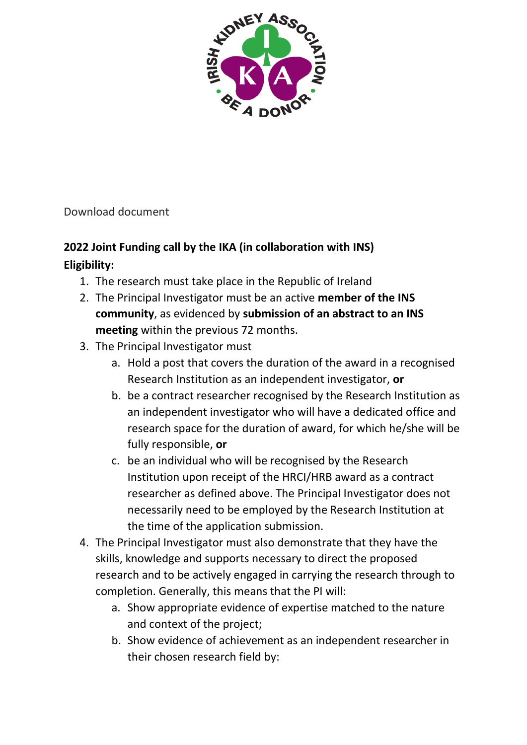

Download document

# **2022 Joint Funding call by the IKA (in collaboration with INS) Eligibility:**

- 1. The research must take place in the Republic of Ireland
- 2. The Principal Investigator must be an active **member of the INS community**, as evidenced by **submission of an abstract to an INS meeting** within the previous 72 months.
- 3. The Principal Investigator must
	- a. Hold a post that covers the duration of the award in a recognised Research Institution as an independent investigator, **or**
	- b. be a contract researcher recognised by the Research Institution as an independent investigator who will have a dedicated office and research space for the duration of award, for which he/she will be fully responsible, **or**
	- c. be an individual who will be recognised by the Research Institution upon receipt of the HRCI/HRB award as a contract researcher as defined above. The Principal Investigator does not necessarily need to be employed by the Research Institution at the time of the application submission.
- 4. The Principal Investigator must also demonstrate that they have the skills, knowledge and supports necessary to direct the proposed research and to be actively engaged in carrying the research through to completion. Generally, this means that the PI will:
	- a. Show appropriate evidence of expertise matched to the nature and context of the project;
	- b. Show evidence of achievement as an independent researcher in their chosen research field by: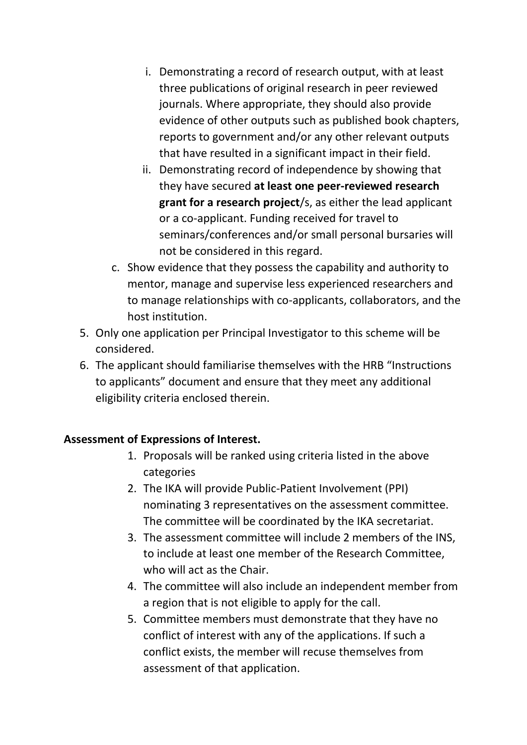- i. Demonstrating a record of research output, with at least three publications of original research in peer reviewed journals. Where appropriate, they should also provide evidence of other outputs such as published book chapters, reports to government and/or any other relevant outputs that have resulted in a significant impact in their field.
- ii. Demonstrating record of independence by showing that they have secured **at least one peer-reviewed research grant for a research project**/s, as either the lead applicant or a co-applicant. Funding received for travel to seminars/conferences and/or small personal bursaries will not be considered in this regard.
- c. Show evidence that they possess the capability and authority to mentor, manage and supervise less experienced researchers and to manage relationships with co-applicants, collaborators, and the host institution.
- 5. Only one application per Principal Investigator to this scheme will be considered.
- 6. The applicant should familiarise themselves with the HRB "Instructions to applicants" document and ensure that they meet any additional eligibility criteria enclosed therein.

## **Assessment of Expressions of Interest.**

- 1. Proposals will be ranked using criteria listed in the above categories
- 2. The IKA will provide Public-Patient Involvement (PPI) nominating 3 representatives on the assessment committee. The committee will be coordinated by the IKA secretariat.
- 3. The assessment committee will include 2 members of the INS, to include at least one member of the Research Committee, who will act as the Chair.
- 4. The committee will also include an independent member from a region that is not eligible to apply for the call.
- 5. Committee members must demonstrate that they have no conflict of interest with any of the applications. If such a conflict exists, the member will recuse themselves from assessment of that application.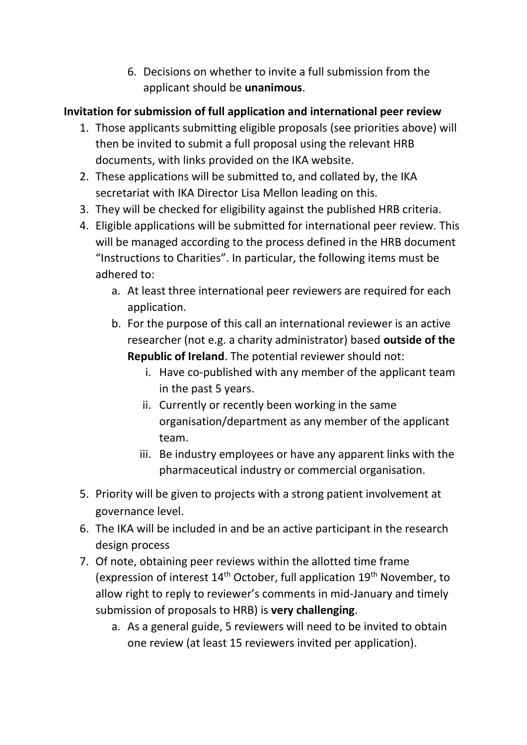6. Decisions on whether to invite a full submission from the applicant should be **unanimous**.

## **Invitation for submission of full application and international peer review**

- 1. Those applicants submitting eligible proposals (see priorities above) will then be invited to submit a full proposal using the relevant HRB documents, with links provided on the IKA website.
- 2. These applications will be submitted to, and collated by, the IKA secretariat with IKA Director Lisa Mellon leading on this.
- 3. They will be checked for eligibility against the published HRB criteria.
- 4. Eligible applications will be submitted for international peer review. This will be managed according to the process defined in the HRB document "Instructions to Charities". In particular, the following items must be adhered to:
	- a. At least three international peer reviewers are required for each application.
	- b. For the purpose of this call an international reviewer is an active researcher (not e.g. a charity administrator) based **outside of the Republic of Ireland**. The potential reviewer should not:
		- i. Have co-published with any member of the applicant team in the past 5 years.
		- ii. Currently or recently been working in the same organisation/department as any member of the applicant team.
		- iii. Be industry employees or have any apparent links with the pharmaceutical industry or commercial organisation.
- 5. Priority will be given to projects with a strong patient involvement at governance level.
- 6. The IKA will be included in and be an active participant in the research design process
- 7. Of note, obtaining peer reviews within the allotted time frame (expression of interest 14<sup>th</sup> October, full application 19<sup>th</sup> November, to allow right to reply to reviewer's comments in mid-January and timely submission of proposals to HRB) is **very challenging**.
	- a. As a general guide, 5 reviewers will need to be invited to obtain one review (at least 15 reviewers invited per application).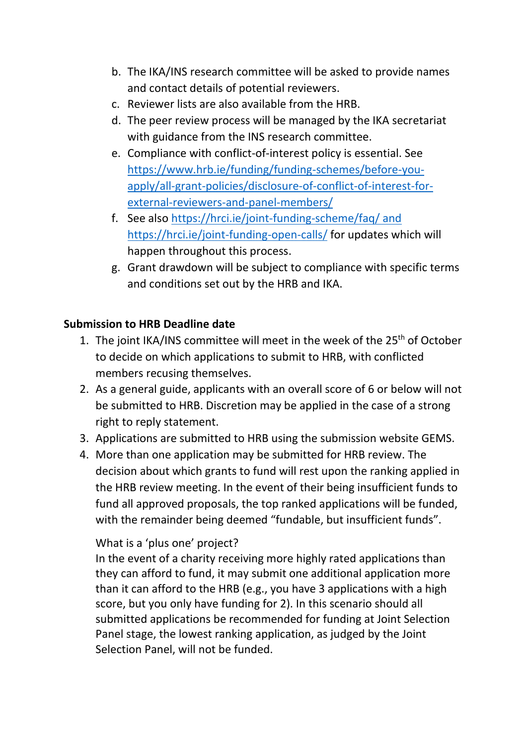- b. The IKA/INS research committee will be asked to provide names and contact details of potential reviewers.
- c. Reviewer lists are also available from the HRB.
- d. The peer review process will be managed by the IKA secretariat with guidance from the INS research committee.
- e. Compliance with conflict-of-interest policy is essential. See [https://www.hrb.ie/funding/funding-schemes/before-you](https://www.hrb.ie/funding/funding-schemes/before-you-apply/all-grant-policies/disclosure-of-conflict-of-interest-for-external-reviewers-and-panel-members/)[apply/all-grant-policies/disclosure-of-conflict-of-interest-for](https://www.hrb.ie/funding/funding-schemes/before-you-apply/all-grant-policies/disclosure-of-conflict-of-interest-for-external-reviewers-and-panel-members/)[external-reviewers-and-panel-members/](https://www.hrb.ie/funding/funding-schemes/before-you-apply/all-grant-policies/disclosure-of-conflict-of-interest-for-external-reviewers-and-panel-members/)
- f. See also<https://hrci.ie/joint-funding-scheme/faq/> and <https://hrci.ie/joint-funding-open-calls/> for updates which will happen throughout this process.
- g. Grant drawdown will be subject to compliance with specific terms and conditions set out by the HRB and IKA.

## **Submission to HRB Deadline date**

- 1. The joint IKA/INS committee will meet in the week of the 25<sup>th</sup> of October to decide on which applications to submit to HRB, with conflicted members recusing themselves.
- 2. As a general guide, applicants with an overall score of 6 or below will not be submitted to HRB. Discretion may be applied in the case of a strong right to reply statement.
- 3. Applications are submitted to HRB using the submission website GEMS.
- 4. More than one application may be submitted for HRB review. The decision about which grants to fund will rest upon the ranking applied in the HRB review meeting. In the event of their being insufficient funds to fund all approved proposals, the top ranked applications will be funded, with the remainder being deemed "fundable, but insufficient funds".

## What is a 'plus one' project?

In the event of a charity receiving more highly rated applications than they can afford to fund, it may submit one additional application more than it can afford to the HRB (e.g., you have 3 applications with a high score, but you only have funding for 2). In this scenario should all submitted applications be recommended for funding at Joint Selection Panel stage, the lowest ranking application, as judged by the Joint Selection Panel, will not be funded.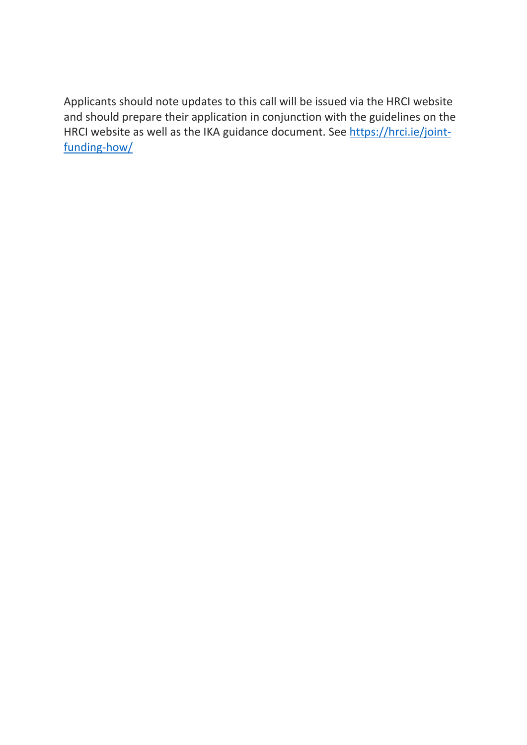Applicants should note updates to this call will be issued via the HRCI website and should prepare their application in conjunction with the guidelines on the HRCI website as well as the IKA guidance document. See [https://hrci.ie/joint](https://hrci.ie/joint-funding-how/)[funding-how/](https://hrci.ie/joint-funding-how/)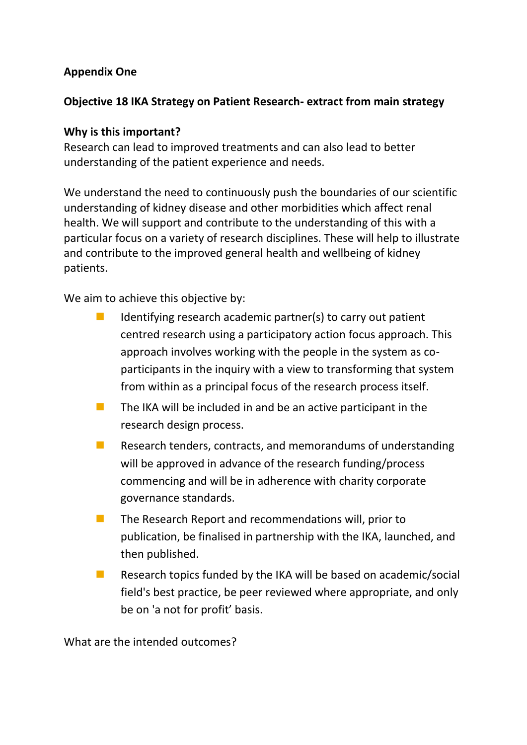#### **Appendix One**

#### **Objective 18 IKA Strategy on Patient Research- extract from main strategy**

#### **Why is this important?**

Research can lead to improved treatments and can also lead to better understanding of the patient experience and needs.

We understand the need to continuously push the boundaries of our scientific understanding of kidney disease and other morbidities which affect renal health. We will support and contribute to the understanding of this with a particular focus on a variety of research disciplines. These will help to illustrate and contribute to the improved general health and wellbeing of kidney patients.

We aim to achieve this objective by:

- $\blacksquare$  Identifying research academic partner(s) to carry out patient centred research using a participatory action focus approach. This approach involves working with the people in the system as coparticipants in the inquiry with a view to transforming that system from within as a principal focus of the research process itself.
- $\blacksquare$  The IKA will be included in and be an active participant in the research design process.
- Research tenders, contracts, and memorandums of understanding will be approved in advance of the research funding/process commencing and will be in adherence with charity corporate governance standards.
- The Research Report and recommendations will, prior to publication, be finalised in partnership with the IKA, launched, and then published.
- $\blacksquare$  Research topics funded by the IKA will be based on academic/social field's best practice, be peer reviewed where appropriate, and only be on 'a not for profit' basis.

What are the intended outcomes?